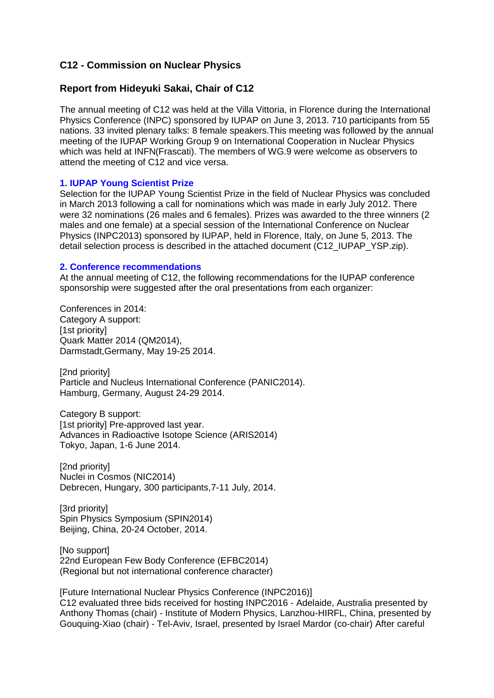# **C12 - Commission on Nuclear Physics**

## **Report from Hideyuki Sakai, Chair of C12**

The annual meeting of C12 was held at the Villa Vittoria, in Florence during the International Physics Conference (INPC) sponsored by IUPAP on June 3, 2013. 710 participants from 55 nations. 33 invited plenary talks: 8 female speakers.This meeting was followed by the annual meeting of the IUPAP Working Group 9 on International Cooperation in Nuclear Physics which was held at INFN(Frascati). The members of WG.9 were welcome as observers to attend the meeting of C12 and vice versa.

## **1. IUPAP Young Scientist Prize**

Selection for the IUPAP Young Scientist Prize in the field of Nuclear Physics was concluded in March 2013 following a call for nominations which was made in early July 2012. There were 32 nominations (26 males and 6 females). Prizes was awarded to the three winners (2 males and one female) at a special session of the International Conference on Nuclear Physics (INPC2013) sponsored by IUPAP, held in Florence, Italy, on June 5, 2013. The detail selection process is described in the attached document (C12\_IUPAP\_YSP.zip).

### **2. Conference recommendations**

At the annual meeting of C12, the following recommendations for the IUPAP conference sponsorship were suggested after the oral presentations from each organizer:

Conferences in 2014: Category A support: [1st priority] Quark Matter 2014 (QM2014), Darmstadt,Germany, May 19-25 2014.

[2nd priority] Particle and Nucleus International Conference (PANIC2014). Hamburg, Germany, August 24-29 2014.

Category B support: [1st priority] Pre-approved last year. Advances in Radioactive Isotope Science (ARIS2014) Tokyo, Japan, 1-6 June 2014.

[2nd priority] Nuclei in Cosmos (NIC2014) Debrecen, Hungary, 300 participants,7-11 July, 2014.

[3rd priority] Spin Physics Symposium (SPIN2014) Beijing, China, 20-24 October, 2014.

[No support] 22nd European Few Body Conference (EFBC2014) (Regional but not international conference character)

[Future International Nuclear Physics Conference (INPC2016)] C12 evaluated three bids received for hosting INPC2016 - Adelaide, Australia presented by Anthony Thomas (chair) - Institute of Modern Physics, Lanzhou-HIRFL, China, presented by Gouquing-Xiao (chair) - Tel-Aviv, Israel, presented by Israel Mardor (co-chair) After careful